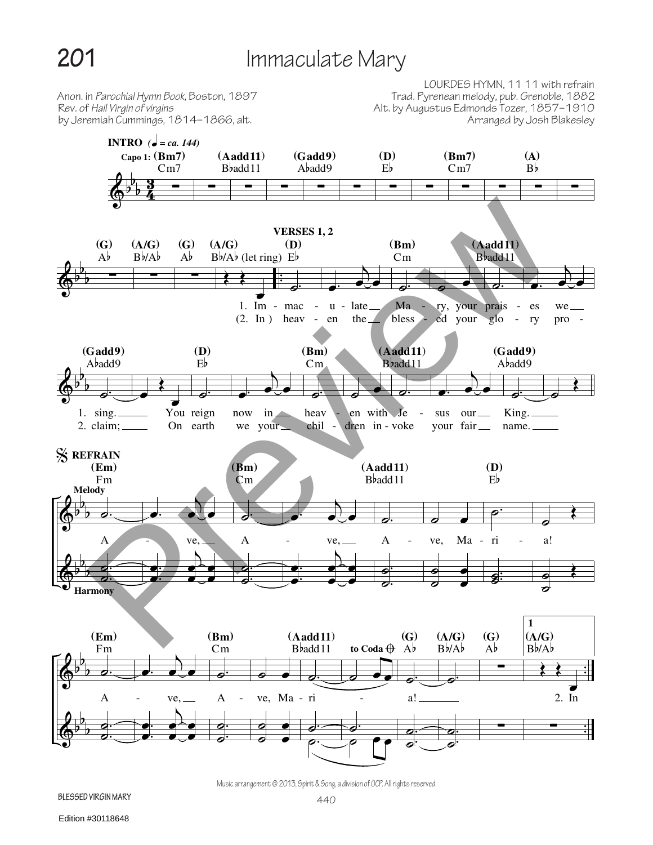## **201** Immaculate Mary

by Jeremiah Cummings, 1814–1866, alt.

LOURDES HYMN, 11 11 with refrain Anon. in *Parochial Hymn Book*, Boston, 1897 Trad. Pyrenean melody, pub. Grenoble, 1882 Rev. of *Hail Virgin of virgins* Alt. by Augustus Edmonds Tozer, 1857–1910



Music arrangement © 2013, Spirit & Song, a division of OCP. All rights reserved.

**Blessed virgin mary**